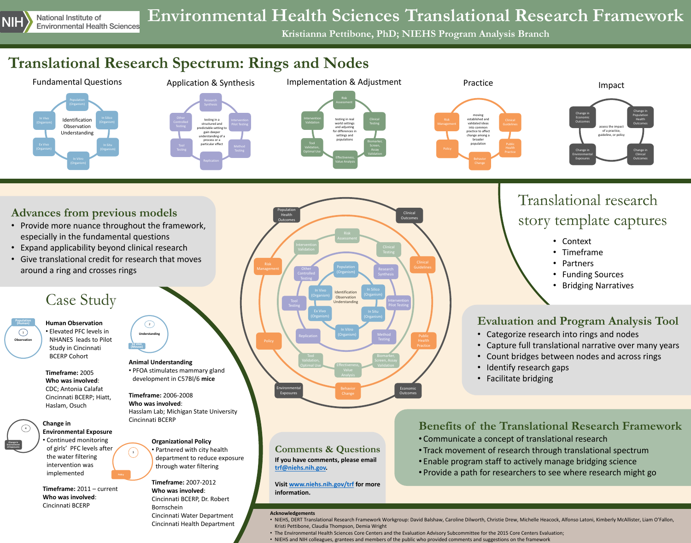

## **Translational Research Spectrum: Rings and Nodes**

# **Environmental Health Sciences Translational Research Framework**

Cincinnati Health Department

• Categorize research into rings and nodes • Capture full translational narrative over many years • Count bridges between nodes and across rings I dentify research gaps





- especially in the fundamental questions
- 
- around a ring and crosses rings

### **Evaluation and Program Analysis Tool**

• NIEHS, DERT Translational Research Framework Workgroup: David Balshaw, Caroline Dilworth, Christie Drew, Michelle Heacock, Alfonso Latoni, Kimberly McAllister, Liam O'Fallon,

- 
- Kristi Pettibone, Claudia Thompson, Demia Wright
- 

• The Environmental Health Sciences Core Centers and the Evaluation Advisory Subcommittee for the 2015 Core Centers Evaluation; • NIEHS and NIH colleagues, grantees and members of the public who provided comments and suggestions on the framework

### Translational research

### story template captures

- Context
- Timeframe
- Partners
- Funding Sources
- Bridging Narratives

# **Benefits of the Translational Research Framework**

- 
- 
- 

• Track movement of research through translational spectrum • Enable program staff to actively manage bridging science • Provide a path for researchers to see where research might go

**Kristianna Pettibone, PhD; NIEHS Program Analysis Branch**